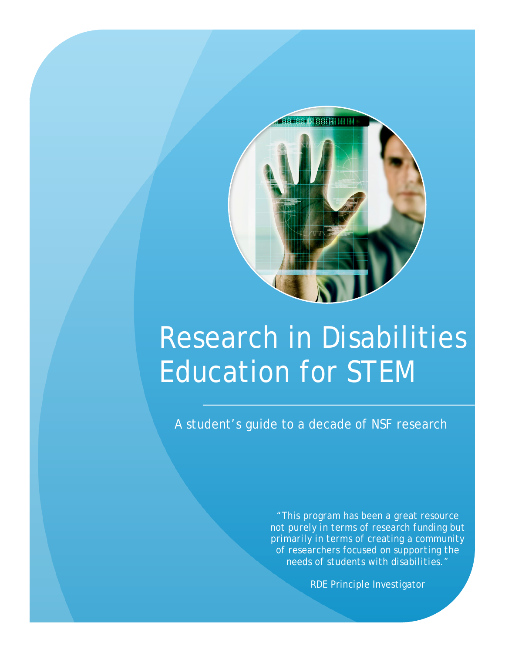

## Research in Disabilities Education for STEM

A student's guide to a decade of NSF research

*"This program has been a great resource not purely in terms of research funding but primarily in terms of creating a community of researchers focused on supporting the needs of students with disabilities."*

RDE Principle Investigator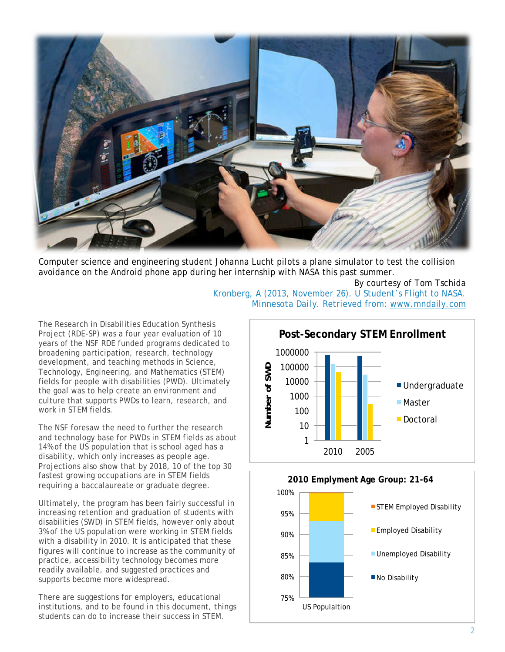

Computer science and engineering student Johanna Lucht pilots a plane simulator to test the collision avoidance on the Android phone app during her internship with NASA this past summer.

> By courtesy of Tom Tschida Kronberg, A (2013, November 26). U Student's Flight to NASA. *Minnesota Daily.* Retrieved from: [www.mndaily.com](http://www.mndaily.com)

The Research in Disabilities Education Synthesis Project (RDE-SP) was a four year evaluation of 10 years of the NSF RDE funded programs dedicated to broadening participation, research, technology development, and teaching methods in Science, Technology, Engineering, and Mathematics (STEM) fields for people with disabilities (PWD). Ultimately the goal was to help create an environment and culture that supports PWDs to learn, research, and work in STEM fields.

The NSF foresaw the need to further the research and technology base for PWDs in STEM fields as about 14% of the US population that is school aged has a disability, which only increases as people age. Projections also show that by 2018, 10 of the top 30 fastest growing occupations are in STEM fields requiring a baccalaureate or graduate degree.

Ultimately, the program has been fairly successful in increasing retention and graduation of students with disabilities (SWD) in STEM fields, however only about 3% of the US population were working in STEM fields with a disability in 2010. It is anticipated that these figures will continue to increase as the community of practice, accessibility technology becomes more readily available, and suggested practices and supports become more widespread.

There are suggestions for employers, educational institutions, and to be found in this document, things students can do to increase their success in STEM.



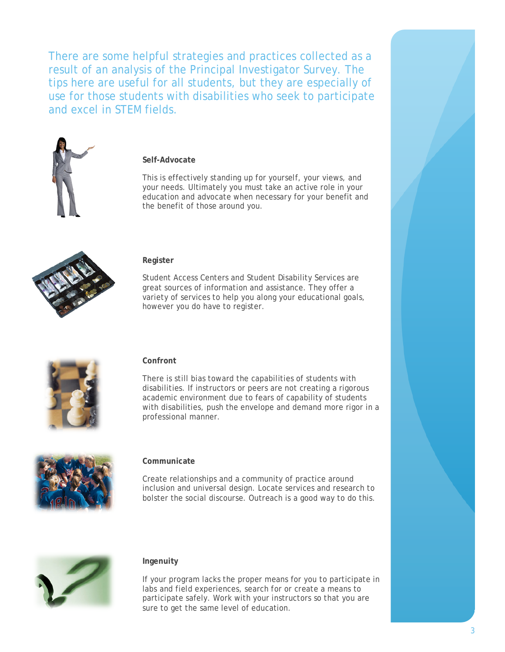There are some helpful strategies and practices collected as a result of an analysis of the Principal Investigator Survey. The tips here are useful for all students, but they are especially of use for those students with disabilities who seek to participate and excel in STEM fields.



#### **Self-Advocate**

This is effectively standing up for yourself, your views, and your needs. Ultimately you must take an active role in your education and advocate when necessary for your benefit and the benefit of those around you.



#### **Register**

Student Access Centers and Student Disability Services are great sources of information and assistance. They offer a variety of services to help you along your educational goals, however you do have to register.



#### **Confront**

There is still bias toward the capabilities of students with disabilities. If instructors or peers are not creating a rigorous academic environment due to fears of capability of students with disabilities, push the envelope and demand more rigor in a professional manner.



#### **Communicate**

Create relationships and a community of practice around inclusion and universal design. Locate services and research to bolster the social discourse. Outreach is a good way to do this.



#### **Ingenuity**

If your program lacks the proper means for you to participate in labs and field experiences, search for or create a means to participate safely. Work with your instructors so that you are sure to get the same level of education.